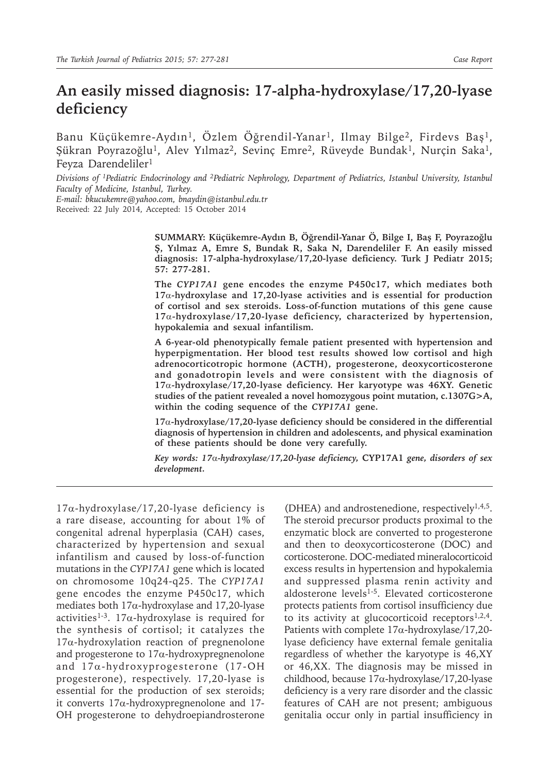# **An easily missed diagnosis: 17-alpha-hydroxylase/17,20-lyase deficiency**

Banu Küçükemre-Aydın<sup>1</sup>, Özlem Öğrendil-Yanar<sup>1</sup>, Ilmay Bilge<sup>2</sup>, Firdevs Baş<sup>1</sup>, Şükran Poyrazoğlu<sup>1</sup>, Alev Yılmaz<sup>2</sup>, Sevinç Emre<sup>2</sup>, Rüveyde Bundak<sup>1</sup>, Nurçin Saka<sup>1</sup>, Feyza Darendeliler<sup>1</sup>

*Divisions of 1Pediatric Endocrinology and 2Pediatric Nephrology, Department of Pediatrics, Istanbul University, Istanbul Faculty of Medicine, Istanbul, Turkey.* 

*E-mail: bkucukemre@yahoo.com, bnaydin@istanbul.edu.tr*  Received: 22 July 2014, Accepted: 15 October 2014

> **SUMMARY: Küçükemre-Aydın B, Öğrendil-Yanar Ö, Bilge I, Baş F, Poyrazoğlu Ş, Yılmaz A, Emre S, Bundak R, Saka N, Darendeliler F. An easily missed diagnosis: 17-alpha-hydroxylase/17,20-lyase deficiency. Turk J Pediatr 2015; 57: 277-281.**

> **The** *CYP17A1* **gene encodes the enzyme P450c17, which mediates both 17**α**-hydroxylase and 17,20-lyase activities and is essential for production of cortisol and sex steroids. Loss-of-function mutations of this gene cause 17**α**-hydroxylase/17,20-lyase deficiency, characterized by hypertension, hypokalemia and sexual infantilism.**

> **A 6-year-old phenotypically female patient presented with hypertension and hyperpigmentation. Her blood test results showed low cortisol and high adrenocorticotropic hormone (ACTH), progesterone, deoxycorticosterone and gonadotropin levels and were consistent with the diagnosis of 17**α**-hydroxylase/17,20-lyase deficiency. Her karyotype was 46XY. Genetic studies of the patient revealed a novel homozygous point mutation, c.1307G>A, within the coding sequence of the** *CYP17A1* **gene.**

> **17**α**-hydroxylase/17,20-lyase deficiency should be considered in the differential diagnosis of hypertension in children and adolescents, and physical examination of these patients should be done very carefully.**

> *Key words: 17*α*-hydroxylase/17,20-lyase deficiency,* **CYP17A1** *gene, disorders of sex development.*

17α-hydroxylase/17,20-lyase deficiency is a rare disease, accounting for about 1% of congenital adrenal hyperplasia (CAH) cases, characterized by hypertension and sexual infantilism and caused by loss-of-function mutations in the *CYP17A1* gene which is located on chromosome 10q24-q25. The *CYP17A1* gene encodes the enzyme P450c17, which mediates both 17α-hydroxylase and 17,20-lyase activities<sup>1-3</sup>. 17 $\alpha$ -hydroxylase is required for the synthesis of cortisol; it catalyzes the  $17\alpha$ -hydroxylation reaction of pregnenolone and progesterone to 17α-hydroxypregnenolone and 17α-hydroxyprogesterone (17-OH progesterone), respectively. 17,20-lyase is essential for the production of sex steroids; it converts  $17\alpha$ -hydroxypregnenolone and 17-OH progesterone to dehydroepiandrosterone

(DHEA) and androstenedione, respectively1,4,5. The steroid precursor products proximal to the enzymatic block are converted to progesterone and then to deoxycorticosterone (DOC) and corticosterone. DOC-mediated mineralocorticoid excess results in hypertension and hypokalemia and suppressed plasma renin activity and aldosterone levels<sup>1-5</sup>. Elevated corticosterone protects patients from cortisol insufficiency due to its activity at glucocorticoid receptors $1,2,4$ . Patients with complete 17α-hydroxylase/17,20 lyase deficiency have external female genitalia regardless of whether the karyotype is 46,XY or 46,XX. The diagnosis may be missed in childhood, because 17α-hydroxylase/17,20-lyase deficiency is a very rare disorder and the classic features of CAH are not present; ambiguous genitalia occur only in partial insufficiency in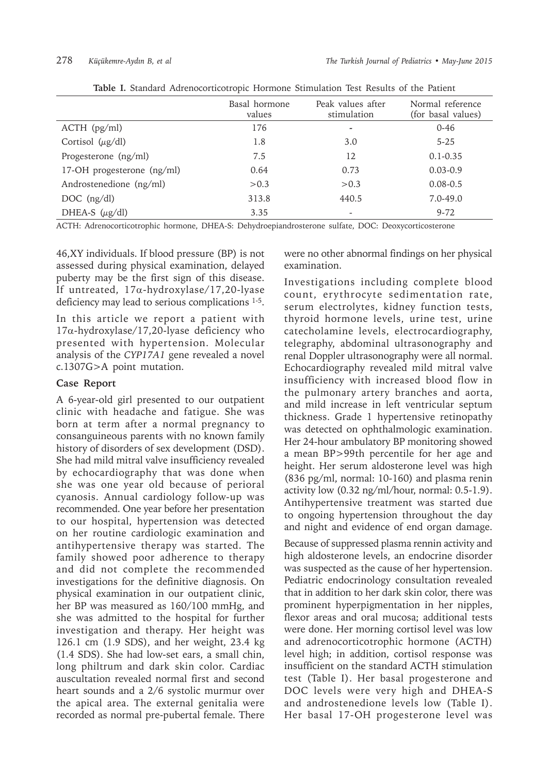|                              | Basal hormone<br>values | Peak values after<br>stimulation | Normal reference<br>(for basal values) |
|------------------------------|-------------------------|----------------------------------|----------------------------------------|
| $ACTH$ (pg/ml)               | 176                     | $\overline{\phantom{a}}$         | $0 - 46$                               |
| Cortisol $(\mu g/dl)$        | 1.8                     | 3.0                              | $5 - 25$                               |
| Progesterone (ng/ml)         | 7.5                     | 12                               | $0.1 - 0.35$                           |
| 17-OH progesterone $(ng/ml)$ | 0.64                    | 0.73                             | $0.03 - 0.9$                           |
| Androstenedione (ng/ml)      | > 0.3                   | > 0.3                            | $0.08 - 0.5$                           |
| $DOC$ (ng/dl)                | 313.8                   | 440.5                            | $7.0 - 49.0$                           |
| DHEA-S $(\mu g/dl)$          | 3.35                    |                                  | $9 - 72$                               |

|--|

ACTH: Adrenocorticotrophic hormone, DHEA-S: Dehydroepiandrosterone sulfate, DOC: Deoxycorticosterone

46,XY individuals. If blood pressure (BP) is not assessed during physical examination, delayed puberty may be the first sign of this disease. If untreated, 17α-hydroxylase/17,20-lyase deficiency may lead to serious complications <sup>1-5</sup>.

In this article we report a patient with 17α-hydroxylase/17,20-lyase deficiency who presented with hypertension. Molecular analysis of the *CYP17A1* gene revealed a novel c.1307G>A point mutation.

# **Case Report**

A 6-year-old girl presented to our outpatient clinic with headache and fatigue. She was born at term after a normal pregnancy to consanguineous parents with no known family history of disorders of sex development (DSD). She had mild mitral valve insufficiency revealed by echocardiography that was done when she was one year old because of perioral cyanosis. Annual cardiology follow-up was recommended. One year before her presentation to our hospital, hypertension was detected on her routine cardiologic examination and antihypertensive therapy was started. The family showed poor adherence to therapy and did not complete the recommended investigations for the definitive diagnosis. On physical examination in our outpatient clinic, her BP was measured as 160/100 mmHg, and she was admitted to the hospital for further investigation and therapy. Her height was 126.1 cm (1.9 SDS), and her weight, 23.4 kg (1.4 SDS). She had low-set ears, a small chin, long philtrum and dark skin color. Cardiac auscultation revealed normal first and second heart sounds and a 2/6 systolic murmur over the apical area. The external genitalia were recorded as normal pre-pubertal female. There

were no other abnormal findings on her physical examination.

Investigations including complete blood count, erythrocyte sedimentation rate, serum electrolytes, kidney function tests, thyroid hormone levels, urine test, urine catecholamine levels, electrocardiography, telegraphy, abdominal ultrasonography and renal Doppler ultrasonography were all normal. Echocardiography revealed mild mitral valve insufficiency with increased blood flow in the pulmonary artery branches and aorta, and mild increase in left ventricular septum thickness. Grade 1 hypertensive retinopathy was detected on ophthalmologic examination. Her 24-hour ambulatory BP monitoring showed a mean BP>99th percentile for her age and height. Her serum aldosterone level was high (836 pg/ml, normal: 10-160) and plasma renin activity low (0.32 ng/ml/hour, normal: 0.5-1.9). Antihypertensive treatment was started due to ongoing hypertension throughout the day and night and evidence of end organ damage.

Because of suppressed plasma rennin activity and high aldosterone levels, an endocrine disorder was suspected as the cause of her hypertension. Pediatric endocrinology consultation revealed that in addition to her dark skin color, there was prominent hyperpigmentation in her nipples, flexor areas and oral mucosa; additional tests were done. Her morning cortisol level was low and adrenocorticotrophic hormone (ACTH) level high; in addition, cortisol response was insufficient on the standard ACTH stimulation test (Table I). Her basal progesterone and DOC levels were very high and DHEA-S and androstenedione levels low (Table I). Her basal 17-OH progesterone level was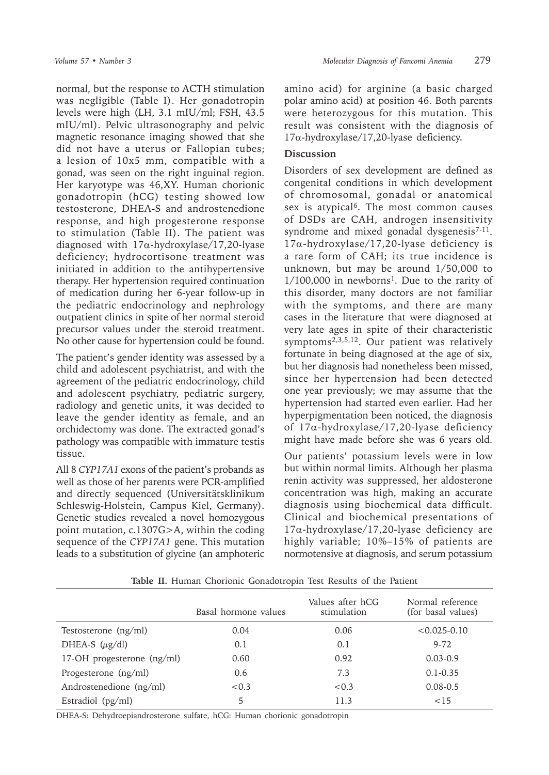normal, but the response to ACTH stimulation was negligible (Table I). Her gonadotropin levels were high (LH, 3.1 mIU/ml; FSH, 43.5 mIU/ml). Pelvic ultrasonography and pelvic magnetic resonance imaging showed that she did not have a uterus or Fallopian tubes; a lesion of 10x5 mm, compatible with a gonad, was seen on the right inguinal region. Her karyotype was 46,XY. Human chorionic gonadotropin (hCG) testing showed low testosterone, DHEA-S and androstenedione response, and high progesterone response to stimulation (Table II). The patient was diagnosed with 17α-hydroxylase/17,20-lyase deficiency; hydrocortisone treatment was initiated in addition to the antihypertensive therapy. Her hypertension required continuation of medication during her 6-year follow-up in the pediatric endocrinology and nephrology outpatient clinics in spite of her normal steroid precursor values under the steroid treatment. No other cause for hypertension could be found.

The patient's gender identity was assessed by a child and adolescent psychiatrist, and with the agreement of the pediatric endocrinology, child and adolescent psychiatry, pediatric surgery, radiology and genetic units, it was decided to leave the gender identity as female, and an orchidectomy was done. The extracted gonad's pathology was compatible with immature testis tissue.

All 8 *CYP17A1* exons of the patient's probands as well as those of her parents were PCR-amplified and directly sequenced (Universitätsklinikum Schleswig-Holstein, Campus Kiel, Germany). Genetic studies revealed a novel homozygous point mutation, c.1307G>A, within the coding sequence of the *CYP17A1* gene. This mutation leads to a substitution of glycine (an amphoteric

amino acid) for arginine (a basic charged polar amino acid) at position 46. Both parents were heterozygous for this mutation. This result was consistent with the diagnosis of 17α-hydroxylase/17,20-lyase deficiency.

# **Discussion**

Disorders of sex development are defined as congenital conditions in which development of chromosomal, gonadal or anatomical sex is atypical<sup>6</sup>. The most common causes of DSDs are CAH, androgen insensitivity syndrome and mixed gonadal dysgenesis $7-11$ . 17α-hydroxylase/17,20-lyase deficiency is a rare form of CAH; its true incidence is unknown, but may be around 1/50,000 to  $1/100,000$  in newborns<sup>1</sup>. Due to the rarity of this disorder, many doctors are not familiar with the symptoms, and there are many cases in the literature that were diagnosed at very late ages in spite of their characteristic symptoms2,3,5,12. Our patient was relatively fortunate in being diagnosed at the age of six, but her diagnosis had nonetheless been missed, since her hypertension had been detected one year previously; we may assume that the hypertension had started even earlier. Had her hyperpigmentation been noticed, the diagnosis of 17α-hydroxylase/17,20-lyase deficiency might have made before she was 6 years old.

Our patients' potassium levels were in low but within normal limits. Although her plasma renin activity was suppressed, her aldosterone concentration was high, making an accurate diagnosis using biochemical data difficult. Clinical and biochemical presentations of 17α-hydroxylase/17,20-lyase deficiency are highly variable; 10%–15% of patients are normotensive at diagnosis, and serum potassium

|                              | Basal hormone values | Values after hCG<br>stimulation | Normal reference<br>(for basal values) |
|------------------------------|----------------------|---------------------------------|----------------------------------------|
| Testosterone (ng/ml)         | 0.04                 | 0.06                            | $< 0.025 - 0.10$                       |
| DHEA-S $(\mu g/dl)$          | 0.1                  | 0.1                             | $9 - 72$                               |
| 17-OH progesterone $(ng/ml)$ | 0.60                 | 0.92                            | $0.03 - 0.9$                           |
| Progesterone (ng/ml)         | 0.6                  | 7.3                             | $0.1 - 0.35$                           |
| Androstenedione (ng/ml)      | < 0.3                | < 0.3                           | $0.08 - 0.5$                           |
| Estradiol $(pg/ml)$          | 5                    | 11.3                            | < 15                                   |

**Table II.** Human Chorionic Gonadotropin Test Results of the Patient

DHEA-S: Dehydroepiandrosterone sulfate, hCG: Human chorionic gonadotropin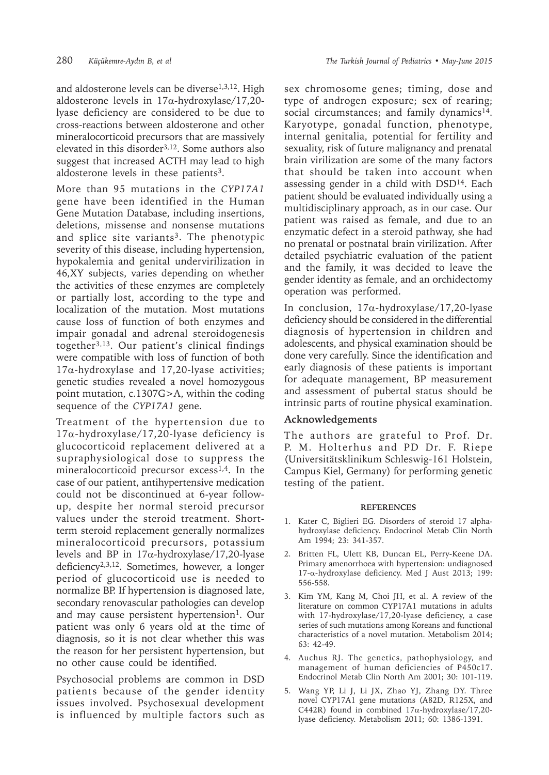and aldosterone levels can be diverse<sup>1,3,12</sup>. High aldosterone levels in 17α-hydroxylase/17,20 lyase deficiency are considered to be due to cross-reactions between aldosterone and other mineralocorticoid precursors that are massively elevated in this disorder3,12. Some authors also suggest that increased ACTH may lead to high aldosterone levels in these patients<sup>3</sup>.

More than 95 mutations in the *CYP17A1* gene have been identified in the Human Gene Mutation Database, including insertions, deletions, missense and nonsense mutations and splice site variants<sup>3</sup>. The phenotypic severity of this disease, including hypertension, hypokalemia and genital undervirilization in 46,XY subjects, varies depending on whether the activities of these enzymes are completely or partially lost, according to the type and localization of the mutation. Most mutations cause loss of function of both enzymes and impair gonadal and adrenal steroidogenesis together3,13. Our patient's clinical findings were compatible with loss of function of both 17α-hydroxylase and 17,20-lyase activities; genetic studies revealed a novel homozygous point mutation, c.1307G>A, within the coding sequence of the *CYP17A1* gene.

Treatment of the hypertension due to 17α-hydroxylase/17,20-lyase deficiency is glucocorticoid replacement delivered at a supraphysiological dose to suppress the mineralocorticoid precursor excess<sup>1,4</sup>. In the case of our patient, antihypertensive medication could not be discontinued at 6-year followup, despite her normal steroid precursor values under the steroid treatment. Shortterm steroid replacement generally normalizes mineralocorticoid precursors, potassium levels and BP in 17α-hydroxylase/17,20-lyase deficiency2,3,12. Sometimes, however, a longer period of glucocorticoid use is needed to normalize BP. If hypertension is diagnosed late, secondary renovascular pathologies can develop and may cause persistent hypertension<sup>1</sup>. Our patient was only 6 years old at the time of diagnosis, so it is not clear whether this was the reason for her persistent hypertension, but no other cause could be identified.

Psychosocial problems are common in DSD patients because of the gender identity issues involved. Psychosexual development is influenced by multiple factors such as

sex chromosome genes; timing, dose and type of androgen exposure; sex of rearing; social circumstances; and family dynamics<sup>14</sup>. Karyotype, gonadal function, phenotype, internal genitalia, potential for fertility and sexuality, risk of future malignancy and prenatal brain virilization are some of the many factors that should be taken into account when assessing gender in a child with DSD<sup>14</sup>. Each patient should be evaluated individually using a multidisciplinary approach, as in our case. Our patient was raised as female, and due to an enzymatic defect in a steroid pathway, she had no prenatal or postnatal brain virilization. After detailed psychiatric evaluation of the patient and the family, it was decided to leave the gender identity as female, and an orchidectomy operation was performed.

In conclusion, 17α-hydroxylase/17,20-lyase deficiency should be considered in the differential diagnosis of hypertension in children and adolescents, and physical examination should be done very carefully. Since the identification and early diagnosis of these patients is important for adequate management, BP measurement and assessment of pubertal status should be intrinsic parts of routine physical examination.

## **Acknowledgements**

The authors are grateful to Prof. Dr. P. M. Holterhus and PD Dr. F. Riepe (Universitätsklinikum Schleswig-161 Holstein, Campus Kiel, Germany) for performing genetic testing of the patient.

## **REFERENCES**

- 1. Kater C, Biglieri EG. Disorders of steroid 17 alphahydroxylase deficiency. Endocrinol Metab Clin North Am 1994; 23: 341-357.
- 2. Britten FL, Ulett KB, Duncan EL, Perry-Keene DA. Primary amenorrhoea with hypertension: undiagnosed 17-α-hydroxylase deficiency. Med J Aust 2013; 199: 556-558.
- 3. Kim YM, Kang M, Choi JH, et al. A review of the literature on common CYP17A1 mutations in adults with 17-hydroxylase/17,20-lyase deficiency, a case series of such mutations among Koreans and functional characteristics of a novel mutation. Metabolism 2014; 63: 42-49.
- 4. Auchus RJ. The genetics, pathophysiology, and management of human deficiencies of P450c17. Endocrinol Metab Clin North Am 2001; 30: 101-119.
- 5. Wang YP, Li J, Li JX, Zhao YJ, Zhang DY. Three novel CYP17A1 gene mutations (A82D, R125X, and C442R) found in combined 17α-hydroxylase/17,20 lyase deficiency. Metabolism 2011; 60: 1386-1391.